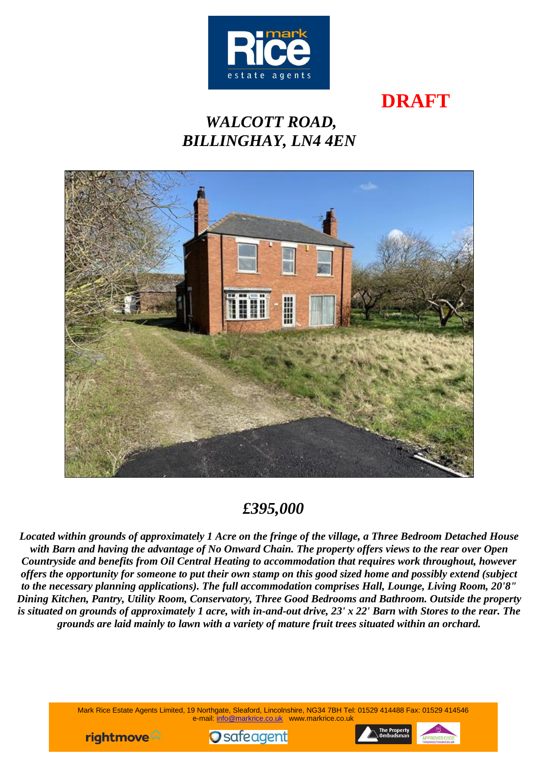

# **DRAFT**

# *WALCOTT ROAD, BILLINGHAY, LN4 4EN*



## *£395,000*

*Located within grounds of approximately 1 Acre on the fringe of the village, a Three Bedroom Detached House with Barn and having the advantage of No Onward Chain. The property offers views to the rear over Open Countryside and benefits from Oil Central Heating to accommodation that requires work throughout, however offers the opportunity for someone to put their own stamp on this good sized home and possibly extend (subject to the necessary planning applications). The full accommodation comprises Hall, Lounge, Living Room, 20'8" Dining Kitchen, Pantry, Utility Room, Conservatory, Three Good Bedrooms and Bathroom. Outside the property is situated on grounds of approximately 1 acre, with in-and-out drive, 23' x 22' Barn with Stores to the rear. The grounds are laid mainly to lawn with a variety of mature fruit trees situated within an orchard.*

> Mark Rice Estate Agents Limited, 19 Northgate, Sleaford, Lincolnshire, NG34 7BH Tel: 01529 414488 Fax: 01529 414546 e-mail: [info@markrice.co.uk](mailto:info@markrice.co.uk) www.markrice.co.uk





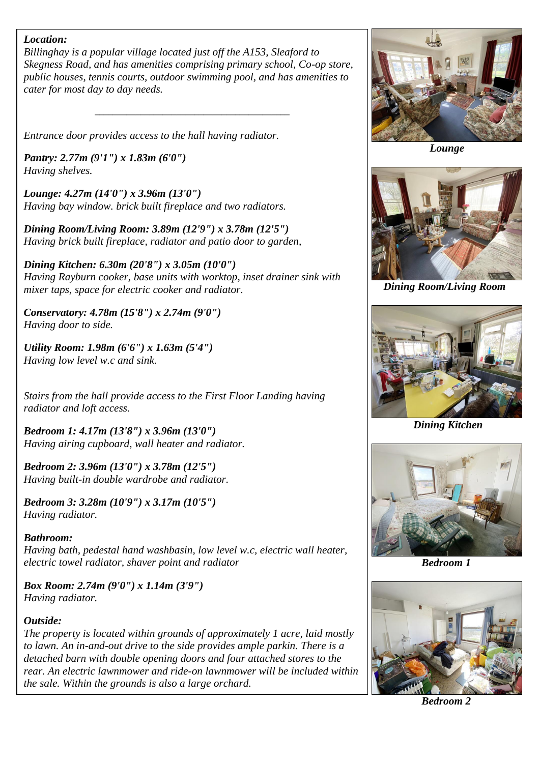#### *Location:*

*Billinghay is a popular village located just off the A153, Sleaford to Skegness Road, and has amenities comprising primary school, Co-op store, public houses, tennis courts, outdoor swimming pool, and has amenities to cater for most day to day needs.*

*\_\_\_\_\_\_\_\_\_\_\_\_\_\_\_\_\_\_\_\_\_\_\_\_\_\_\_\_\_\_\_\_\_\_\_\_\_\_\_\_\_\_\_*

*Entrance door provides access to the hall having radiator.*

*Pantry: 2.77m (9'1") x 1.83m (6'0") Having shelves.*

*Lounge: 4.27m (14'0") x 3.96m (13'0") Having bay window. brick built fireplace and two radiators.*

*Dining Room/Living Room: 3.89m (12'9") x 3.78m (12'5") Having brick built fireplace, radiator and patio door to garden,*

*Dining Kitchen: 6.30m (20'8") x 3.05m (10'0") Having Rayburn cooker, base units with worktop, inset drainer sink with mixer taps, space for electric cooker and radiator.*

*Conservatory: 4.78m (15'8") x 2.74m (9'0") Having door to side.*

*Utility Room: 1.98m (6'6") x 1.63m (5'4") Having low level w.c and sink.*

*Stairs from the hall provide access to the First Floor Landing having radiator and loft access.*

*Bedroom 1: 4.17m (13'8") x 3.96m (13'0") Having airing cupboard, wall heater and radiator.*

*Bedroom 2: 3.96m (13'0") x 3.78m (12'5") Having built-in double wardrobe and radiator.*

*Bedroom 3: 3.28m (10'9") x 3.17m (10'5") Having radiator.*

### *Bathroom:*

*Having bath, pedestal hand washbasin, low level w.c, electric wall heater, electric towel radiator, shaver point and radiator*

*Box Room: 2.74m (9'0") x 1.14m (3'9") Having radiator.*

### *Outside:*

*The property is located within grounds of approximately 1 acre, laid mostly to lawn. An in-and-out drive to the side provides ample parkin. There is a detached barn with double opening doors and four attached stores to the rear. An electric lawnmower and ride-on lawnmower will be included within the sale. Within the grounds is also a large orchard.*



 *Lounge*



 *Dining Room/Living Room*



 *Dining Kitchen*



 *Bedroom 1*



 *Bedroom 2*